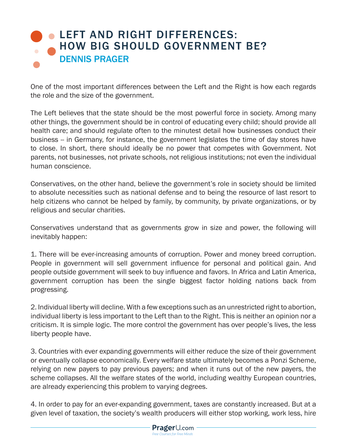## **LEFT AND RIGHT DIFFERENCES:** [HOW BIG SHOULD GOVERNMENT BE?](https://www.prageru.com/courses/left-and-right-differences/how-big-should-government-be) DENNIS PRAGER

One of the most important differences between the Left and the Right is how each regards the role and the size of the government.

The Left believes that the state should be the most powerful force in society. Among many other things, the government should be in control of educating every child; should provide all health care; and should regulate often to the minutest detail how businesses conduct their business -- in Germany, for instance, the government legislates the time of day stores have to close. In short, there should ideally be no power that competes with Government. Not parents, not businesses, not private schools, not religious institutions; not even the individual human conscience.

Conservatives, on the other hand, believe the government's role in society should be limited to absolute necessities such as national defense and to being the resource of last resort to help citizens who cannot be helped by family, by community, by private organizations, or by religious and secular charities.

Conservatives understand that as governments grow in size and power, the following will inevitably happen:

1. There will be ever-increasing amounts of corruption. Power and money breed corruption. People in government will sell government influence for personal and political gain. And people outside government will seek to buy influence and favors. In Africa and Latin America, government corruption has been the single biggest factor holding nations back from progressing.

2. Individual liberty will decline. With a few exceptions such as an unrestricted right to abortion, individual liberty is less important to the Left than to the Right. This is neither an opinion nor a criticism. It is simple logic. The more control the government has over people's lives, the less liberty people have.

3. Countries with ever expanding governments will either reduce the size of their government or eventually collapse economically. Every welfare state ultimately becomes a Ponzi Scheme, relying on new payers to pay previous payers; and when it runs out of the new payers, the scheme collapses. All the welfare states of the world, including wealthy European countries, are already experiencing this problem to varying degrees.

4. In order to pay for an ever-expanding government, taxes are constantly increased. But at a given level of taxation, the society's wealth producers will either stop working, work less, hire